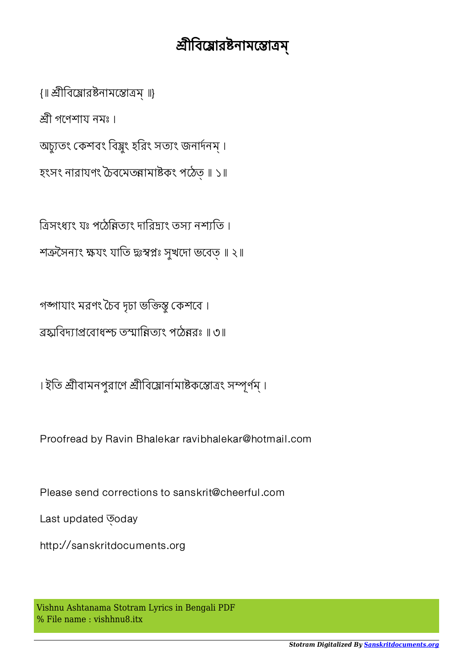## শ্রীবিম্লোরষ্টনামস্তোত্রম্

{॥ ীিবোরনামোম্ ॥}

ী গেণশায নমঃ ।

অচ্যুতং কেশবং বিষ্ণুং হরিং সত্যং জনার্দনম্।

হংসং নারাযণং চৈবমেতন্নামাষ্টকং পঠেত্॥ ১॥

ত্রিসংধ্যং যঃ পঠেন্নিত্যং দারিদ্রাং তস্য নশ্যতি । শত্ৰুসৈন্যং ক্ষযং যাতি দ্বঃস্বপ্নঃ সুখদো ভবেত্ ॥ ২॥

গঙ্গাযাং মরণং চৈব দৃঢা ভক্তিস্তু কেশবে। ব্রহ্মবিদ্যাপ্রবোধশ্চ তস্মান্নিত্যং পঠেন্নরঃ ॥ ৩॥

। ইতি শ্রীবামনপুরাণে শ্রীবিম্লোনামাষ্টকস্তোত্রং সম্পূর্ণম্ ।

Proofread by Ravin Bhalekar ravibhalekar@hotmail.com

Please send corrections to sanskrit@cheerful.com

Last updated  $\overline{\circ}$ oday

http://sanskritdocuments.org

Vishnu Ashtanama Stotram Lyrics in Bengali PDF % File name : vishhnu8.itx